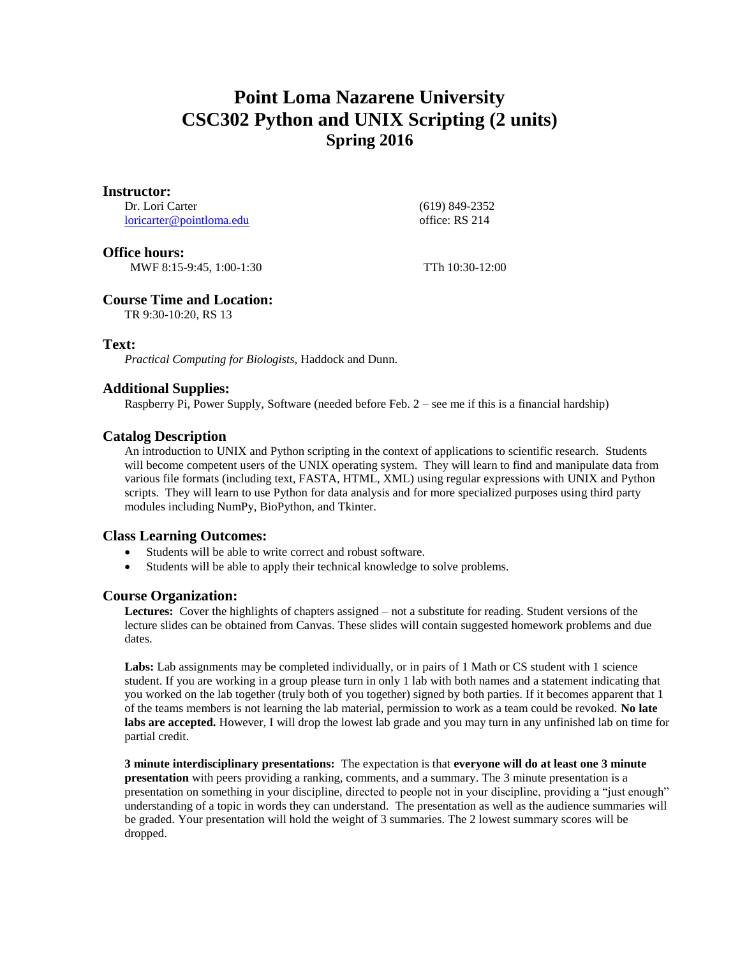## **Point Loma Nazarene University CSC302 Python and UNIX Scripting (2 units) Spring 2016**

#### **Instructor:**

Dr. Lori Carter [loricarter@pointloma.edu](mailto:loricarter@pointloma.edu)  (619) 849-2352 office: RS 214

## **Office hours:**

MWF 8:15-9:45, 1:00-1:30 TTh 10:30-12:00

## **Course Time and Location:**

TR 9:30-10:20, RS 13

## **Text:**

*Practical Computing for Biologists,* Haddock and Dunn.

## **Additional Supplies:**

Raspberry Pi, Power Supply, Software (needed before Feb. 2 – see me if this is a financial hardship)

## **Catalog Description**

An introduction to UNIX and Python scripting in the context of applications to scientific research. Students will become competent users of the UNIX operating system. They will learn to find and manipulate data from various file formats (including text, FASTA, HTML, XML) using regular expressions with UNIX and Python scripts. They will learn to use Python for data analysis and for more specialized purposes using third party modules including NumPy, BioPython, and Tkinter.

## **Class Learning Outcomes:**

- Students will be able to write correct and robust software.
- Students will be able to apply their technical knowledge to solve problems.

## **Course Organization:**

**Lectures:** Cover the highlights of chapters assigned – not a substitute for reading. Student versions of the lecture slides can be obtained from Canvas. These slides will contain suggested homework problems and due dates.

Labs: Lab assignments may be completed individually, or in pairs of 1 Math or CS student with 1 science student. If you are working in a group please turn in only 1 lab with both names and a statement indicating that you worked on the lab together (truly both of you together) signed by both parties. If it becomes apparent that 1 of the teams members is not learning the lab material, permission to work as a team could be revoked. **No late labs are accepted.** However, I will drop the lowest lab grade and you may turn in any unfinished lab on time for partial credit.

**3 minute interdisciplinary presentations:** The expectation is that **everyone will do at least one 3 minute presentation** with peers providing a ranking, comments, and a summary. The 3 minute presentation is a presentation on something in your discipline, directed to people not in your discipline, providing a "just enough" understanding of a topic in words they can understand. The presentation as well as the audience summaries will be graded. Your presentation will hold the weight of 3 summaries. The 2 lowest summary scores will be dropped.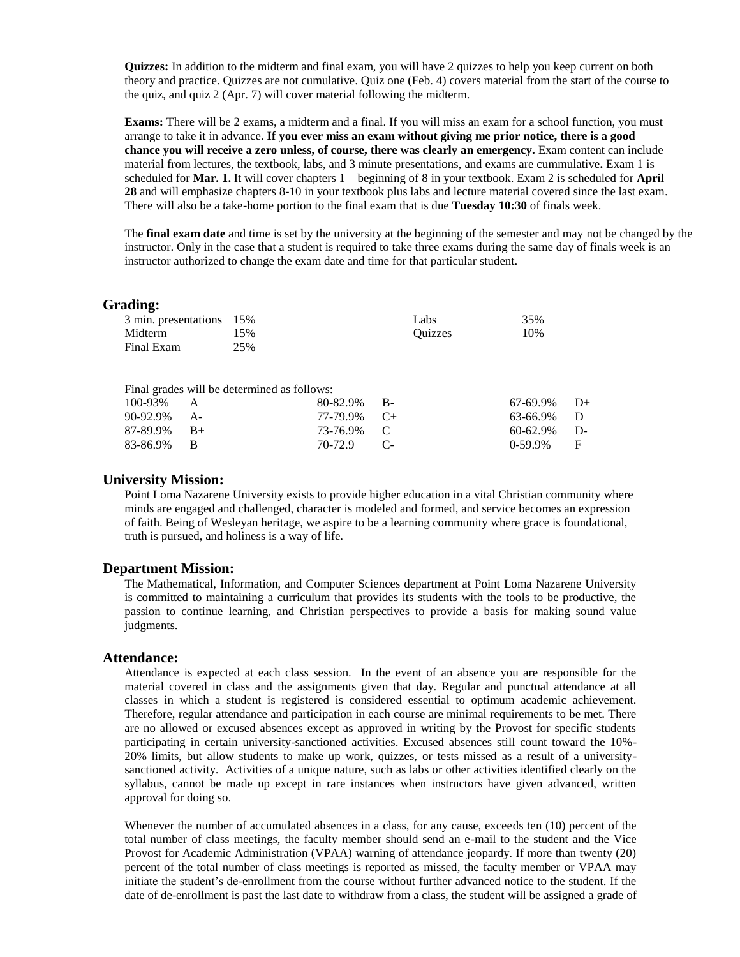**Quizzes:** In addition to the midterm and final exam, you will have 2 quizzes to help you keep current on both theory and practice. Quizzes are not cumulative. Quiz one (Feb. 4) covers material from the start of the course to the quiz, and quiz 2 (Apr. 7) will cover material following the midterm.

**Exams:** There will be 2 exams, a midterm and a final. If you will miss an exam for a school function, you must arrange to take it in advance. **If you ever miss an exam without giving me prior notice, there is a good chance you will receive a zero unless, of course, there was clearly an emergency.** Exam content can include material from lectures, the textbook, labs, and 3 minute presentations, and exams are cummulative**.** Exam 1 is scheduled for **Mar. 1.** It will cover chapters 1 – beginning of 8 in your textbook. Exam 2 is scheduled for **April 28** and will emphasize chapters 8-10 in your textbook plus labs and lecture material covered since the last exam. There will also be a take-home portion to the final exam that is due **Tuesday 10:30** of finals week.

The **final exam date** and time is set by the university at the beginning of the semester and may not be changed by the instructor. Only in the case that a student is required to take three exams during the same day of finals week is an instructor authorized to change the exam date and time for that particular student.

#### **Grading:**

|            | 3 min. presentations 15%                    |          |      | Labs           | 35%       |      |
|------------|---------------------------------------------|----------|------|----------------|-----------|------|
| Midterm    | 15%                                         |          |      | <b>Ouizzes</b> | 10%       |      |
| Final Exam | 25%                                         |          |      |                |           |      |
|            |                                             |          |      |                |           |      |
|            |                                             |          |      |                |           |      |
|            | Final grades will be determined as follows: |          |      |                |           |      |
| 100-93%    | A                                           | 80-82.9% | $B-$ |                | 67-69.9%  | $D+$ |
| 90-92.9%   | A-                                          | 77-79.9% | $C+$ |                | 63-66.9%  | D    |
| 87-89.9%   | $B+$                                        | 73-76.9% | C    |                | 60-62.9%  | D-   |
| 83-86.9%   | В                                           | 70-72.9  | $C-$ |                | $0-59.9%$ | F    |
|            |                                             |          |      |                |           |      |

#### **University Mission:**

Point Loma Nazarene University exists to provide higher education in a vital Christian community where minds are engaged and challenged, character is modeled and formed, and service becomes an expression of faith. Being of Wesleyan heritage, we aspire to be a learning community where grace is foundational, truth is pursued, and holiness is a way of life.

#### **Department Mission:**

The Mathematical, Information, and Computer Sciences department at Point Loma Nazarene University is committed to maintaining a curriculum that provides its students with the tools to be productive, the passion to continue learning, and Christian perspectives to provide a basis for making sound value judgments.

#### **Attendance:**

Attendance is expected at each class session. In the event of an absence you are responsible for the material covered in class and the assignments given that day. Regular and punctual attendance at all classes in which a student is registered is considered essential to optimum academic achievement. Therefore, regular attendance and participation in each course are minimal requirements to be met. There are no allowed or excused absences except as approved in writing by the Provost for specific students participating in certain university-sanctioned activities. Excused absences still count toward the 10%- 20% limits, but allow students to make up work, quizzes, or tests missed as a result of a universitysanctioned activity. Activities of a unique nature, such as labs or other activities identified clearly on the syllabus, cannot be made up except in rare instances when instructors have given advanced, written approval for doing so.

Whenever the number of accumulated absences in a class, for any cause, exceeds ten (10) percent of the total number of class meetings, the faculty member should send an e-mail to the student and the Vice Provost for Academic Administration (VPAA) warning of attendance jeopardy. If more than twenty (20) percent of the total number of class meetings is reported as missed, the faculty member or VPAA may initiate the student's de-enrollment from the course without further advanced notice to the student. If the date of de-enrollment is past the last date to withdraw from a class, the student will be assigned a grade of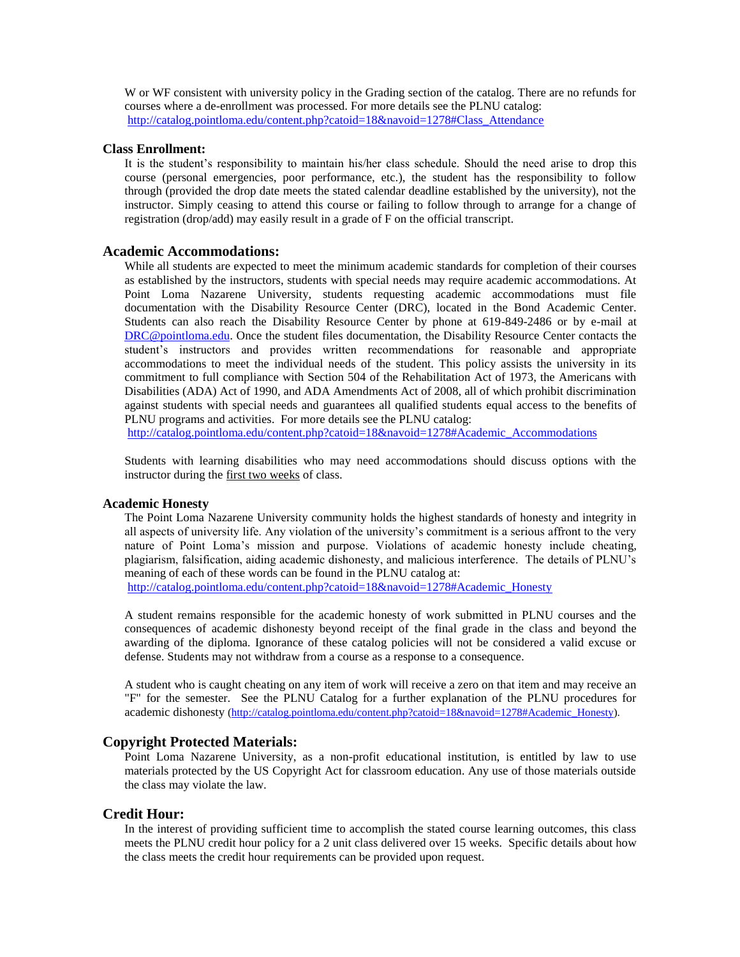W or WF consistent with university policy in the Grading section of the catalog. There are no refunds for courses where a de-enrollment was processed. For more details see the PLNU catalog: [http://catalog.pointloma.edu/content.php?catoid=18&navoid=1278#Class\\_Attendance](http://catalog.pointloma.edu/content.php?catoid=18&navoid=1278#Class_Attendance)

#### **Class Enrollment:**

It is the student's responsibility to maintain his/her class schedule. Should the need arise to drop this course (personal emergencies, poor performance, etc.), the student has the responsibility to follow through (provided the drop date meets the stated calendar deadline established by the university), not the instructor. Simply ceasing to attend this course or failing to follow through to arrange for a change of registration (drop/add) may easily result in a grade of F on the official transcript.

#### **Academic Accommodations:**

While all students are expected to meet the minimum academic standards for completion of their courses as established by the instructors, students with special needs may require academic accommodations. At Point Loma Nazarene University, students requesting academic accommodations must file documentation with the Disability Resource Center (DRC), located in the Bond Academic Center. Students can also reach the Disability Resource Center by phone at 619-849-2486 or by e-mail at [DRC@pointloma.edu.](mailto:DRC@pointloma.edu) Once the student files documentation, the Disability Resource Center contacts the student's instructors and provides written recommendations for reasonable and appropriate accommodations to meet the individual needs of the student. This policy assists the university in its commitment to full compliance with Section 504 of the Rehabilitation Act of 1973, the Americans with Disabilities (ADA) Act of 1990, and ADA Amendments Act of 2008, all of which prohibit discrimination against students with special needs and guarantees all qualified students equal access to the benefits of PLNU programs and activities. For more details see the PLNU catalog:

[http://catalog.pointloma.edu/content.php?catoid=18&navoid=1278#Academic\\_Accommodations](http://catalog.pointloma.edu/content.php?catoid=18&navoid=1278#Academic_Accommodations) 

Students with learning disabilities who may need accommodations should discuss options with the instructor during the first two weeks of class.

#### **Academic Honesty**

The Point Loma Nazarene University community holds the highest standards of honesty and integrity in all aspects of university life. Any violation of the university's commitment is a serious affront to the very nature of Point Loma's mission and purpose. Violations of academic honesty include cheating, plagiarism, falsification, aiding academic dishonesty, and malicious interference. The details of PLNU's meaning of each of these words can be found in the PLNU catalog at:

[http://catalog.pointloma.edu/content.php?catoid=18&navoid=1278#Academic\\_Honesty](http://catalog.pointloma.edu/content.php?catoid=18&navoid=1278#Academic_Honesty)

A student remains responsible for the academic honesty of work submitted in PLNU courses and the consequences of academic dishonesty beyond receipt of the final grade in the class and beyond the awarding of the diploma. Ignorance of these catalog policies will not be considered a valid excuse or defense. Students may not withdraw from a course as a response to a consequence.

A student who is caught cheating on any item of work will receive a zero on that item and may receive an "F" for the semester. See the PLNU Catalog for a further explanation of the PLNU procedures for academic dishonesty [\(http://catalog.pointloma.edu/content.php?catoid=18&navoid=1278#Academic\\_Honesty\)](http://catalog.pointloma.edu/content.php?catoid=18&navoid=1278#Academic_Honesty).

#### **Copyright Protected Materials:**

Point Loma Nazarene University, as a non-profit educational institution, is entitled by law to use materials protected by the US Copyright Act for classroom education. Any use of those materials outside the class may violate the law.

#### **Credit Hour:**

In the interest of providing sufficient time to accomplish the stated course learning outcomes, this class meets the PLNU credit hour policy for a 2 unit class delivered over 15 weeks. Specific details about how the class meets the credit hour requirements can be provided upon request.